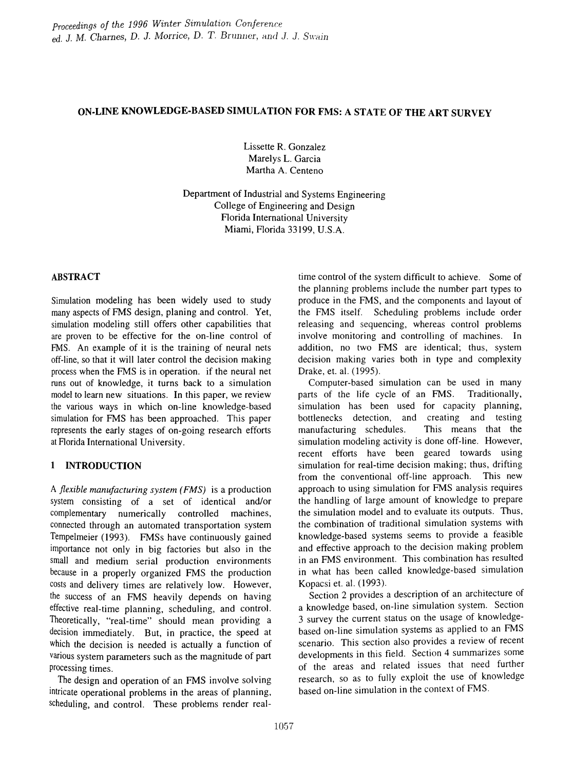# ON·LINE KNOWLEDGE-BASED SIMULATION FOR FMS: A STATE OF THE ART SURVEY

Lissette R. Gonzalez Marelys L. Garcia Martha A. Centeno

Department of Industrial and Systems Engineering College of Engineering and Design Florida International University Miami, Florida 33199, U.S.A.

## ABSTRACT

Simulation modeling has been widely used to study many aspects of FMS design, planing and control. Yet, simulation modeling still offers other capabilities that are proven to be effective for the on-line control of FMS. An example of it is the training of neural nets off-line, so that it will later control the decision making process when the FMS is in operation. if the neural net runs out of knowledge, it turns back to a simulation model to learn new situations. In this paper, we review the various ways in which on-line knowledge-based simulation for FMS has been approached. This paper represents the early stages of on-going research efforts at Florida International University.

# 1 INTRODUCTION

A *flexible manufacturing system (FMS)* is a production system consisting of a set of identical and/or complementary numerically controlled machines, connected through an automated transportation system Tempelmeier (1993). FMSs have continuously gained importance not only in big factories but also in the small and medium serial production environments because in a properly organized FMS the production costs and delivery times are relatively low. However, the success of an FMS heavily depends on having effective real-time planning, scheduling, and control. Theoretically, "real-time" should mean providing a decision immediately. But, in practice, the speed at which the decision is needed is actually a function of various system parameters such as the magnitude of part processing times.

The design and operation of an FMS involve solving intricate operational problems in the areas of planning, scheduling, and control. These problems render realtime control of the system difficult to achieve. Some of the planning problems include the number part types to produce in the FMS, and the components and layout of the FMS itself. Scheduling problems include order releasing and sequencing, whereas control problems involve monitoring and controlling of machines. In addition, no two FMS are identical; thus, system decision making varies both in type and complexity Drake, et. al. (1995).

Computer-based simulation can be used in many parts of the life cycle of an FMS. Traditionally, simulation has been used for capacity planning, bottlenecks detection, and creating and testing<br>manufacturing schedules. This means that the manufacturing schedules. simulation modeling activity is done off-line. However, recent efforts have been geared towards using simulation for real-time decision making; thus, drifting from the conventional off-line approach. This new approach to using simulation for FMS analysis requires the handling of large amount of knowledge to prepare the simulation model and to evaluate its outputs. Thus, the combination of traditional simulation systems with knowledge-based systems seems to provide a feasible and effective approach to the decision making problem in an FMS environment. This combination has resulted in what has been called knowledge-based simulation Kopacsi et. al. (1993).

Section 2 provides a description of an architecture of a knowledge based, on-line simulation system. Section 3 survey the current status on the usage of knowledgebased on-line simulation systems as applied to an FMS scenario. This section also provides a review of recent developments in this field. Section 4 summarizes some of the areas and related issues that need further research, so as to fully exploit the use of knowledge based on-line simulation in the context of FMS.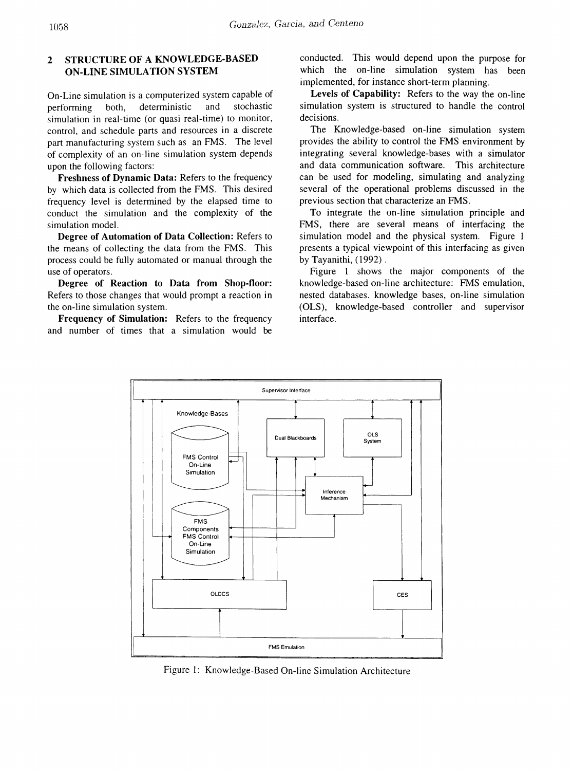## 2 STRUCTURE OF A KNOWLEDGE-BASED ON-LINE SIMULATION SYSTEM

On-Line simulation is a computerized system capable of performing both, deterministic and stochastic simulation in real-time (or quasi real-time) to monitor, control, and schedule parts and resources in a discrete part manufacturing system such as an FMS. The level of complexity of an on-line simulation system depends upon the following factors:

Freshness of Dynamic Data: Refers to the frequency by which data is collected from the FMS. This desired frequency level is determined by the elapsed time to conduct the simulation and the complexity of the simulation model.

Degree of Automation of Data Collection: Refers to the means of collecting the data from the FMS. This process could be fully automated or manual through the use of operators.

Degree of Reaction to Data from Shop-floor: Refers to those changes that would prompt a reaction in the on-line simulation system.

Frequency of Simulation: Refers to the frequency and number of times that a simulation would be conducted. This would depend upon the purpose for which the on-line simulation system has been implemented, for instance short-term planning.

Levels of Capability: Refers to the way the on-line simulation system is structured to handle the control decisions.

The Knowledge-based on-line simulation system provides the ability to control the FMS environment by integrating several knowledge-bases with a simulator and data communication software. This architecture can be used for modeling, simulating and analyzing several of the operational problems discussed in the previous section that characterize an FMS.

To integrate the on-line simulation principle and FMS, there are several means of interfacing the simulation model and the physical system. Figure 1 presents a typical viewpoint of this interfacing as given by Tayanithi, (1992) .

Figure 1 shows the major components of the knowledge-based on-line architecture: FMS emulation, nested databases. knowledge bases, on-line simulation (OLS), knowledge-based controller and supervisor interface.



Figure 1: Knowledge-Based On-line Simulation Architecture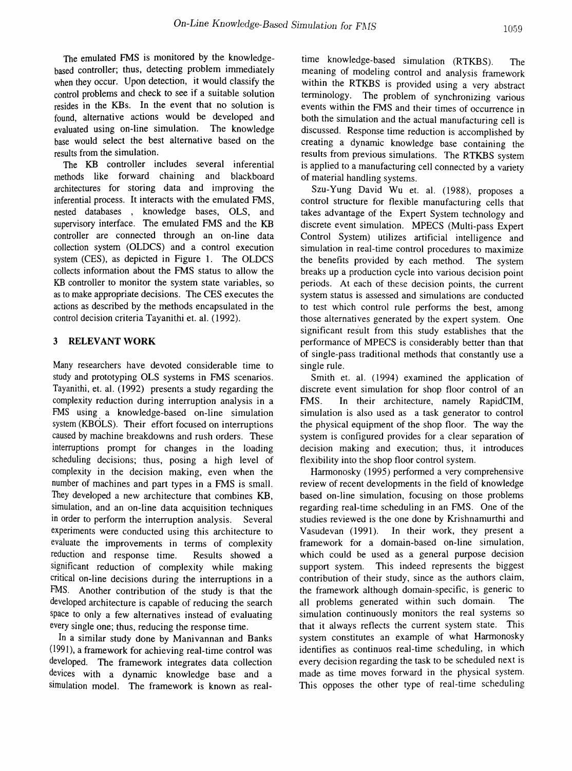The emulated FMS is monitored by the knowledgebased controller; thus, detecting problem immediately when they occur. Upon detection, it would classify the control problems and check to see if a suitable solution resides in the KBs. In the event that no solution is found, alternative actions would be developed and evaluated using on-line simulation. The knowledge base would select the best alternative based on the results from the simulation.

The KB controller includes several inferential methods like forward chaining and blackboard architectures for storing data and improving the inferential process. It interacts with the emulated FMS, nested databases , knowledge bases, OLS, and supervisory interface. The emulated FMS and the KB controller are connected through an on-line data collection system (OLDCS) and a control execution system (CES), as depicted in Figure 1. The OLDCS collects information about the FMS status to allow the KB controller to monitor the system state variables, so as to make appropriate decisions. The CES executes the actions as described by the methods encapsulated in the control decision criteria Tayanithi et. al. (1992).

## 3 RELEVANT WORK

Many researchers have devoted considerable time to study and prototyping OLS systems in FMS scenarios. Tayanithi, et. al. (1992) presents a study regarding the complexity reduction during interruption analysis in a FMS using a knowledge-based on-line simulation system (KBOLS). Their effort focused on interruptions caused by machine breakdowns and rush orders. These interruptions prompt for changes in the loading scheduling decisions; thus, posing a high level of complexity in the decision making, even when the number of machines and part types in a FMS is small. They developed a new architecture that combines KB, simulation, and an on-line data acquisition techniques in order to perform the interruption analysis. Several experiments were conducted using this architecture to evaluate the improvements in terms of complexity reduction and response time. Results showed a significant reduction of complexity while making critical on-line decisions during the interruptions in a FMS. Another contribution of the study is that the developed architecture is capable of reducing the search space to only a few alternatives instead of evaluating every single one; thus, reducing the response time.

In a similar study done by Manivannan and Banks (1991), a framework for achieving real-time control was developed. The framework integrates data collection devices with a dynamic knowledge base and a simulation model. The framework is known as real-

time knowledge-based simulation (RTKBS). The meaning of modeling control and analysis framework within the RTKBS is provided using a very abstract terminology. The problem of synchronizing various events within the FMS and their times of occurrence in both the simulation and the actual manufacturing cell is discussed. Response time reduction is accomplished by creating a dynamic knowledge base containing the results from previous simulations. The RTKBS system is applied to a manufacturing cell connected by a variety of material handling systems.

Szu-Yung David Wu et. al. (1988), proposes a control structure for flexible manufacturing cells that takes advantage of the Expert System technology and discrete event simulation. MPECS (Multi-pass Expert Control System) utilizes artificial intelligence and simulation in real-time control procedures to maximize the benefits provided by each method. The system breaks up a production cycle into various decision point periods. At each of these decision points, the current system status is assessed and simulations are conducted to test which control rule performs the best, among those alternatives generated by the expert system. One significant result from this study establishes that the performance of MPECS is considerably better than that of single-pass traditional methods that constantly use a single rule.

Smith et. al. (1994) examined the application of discrete event simulation for shop floor control of an FMS. In their architecture, namely RapidCIM, simulation is also used as a task generator to control the physical equipment of the shop floor. The way the system is configured provides for a clear separation of decision making and execution; thus, it introduces flexibility into the shop floor control system.

Harmonosky (1995) performed a very comprehensive review of recent developments in the field of knowledge based on-line simulation, focusing on those problems regarding real-time scheduling in an FMS. One of the studies reviewed is the one done by Krishnamurthi and Vasudevan (1991). In their work, they present a framework for a domain-based on-line simulation, which could be used as a general purpose decision support system. This indeed represents the biggest contribution of their study, since as the authors claim, the framework although domain-specific, is generic to all problems generated within such domain. The simulation continuously monitors the real systems so that it always reflects the current system state. This system constitutes an example of what Harmonosky identifies as continuos real-time scheduling, in which every decision regarding the task to be scheduled next is made as time moves forward in the physical system. This opposes the other type of real-time scheduling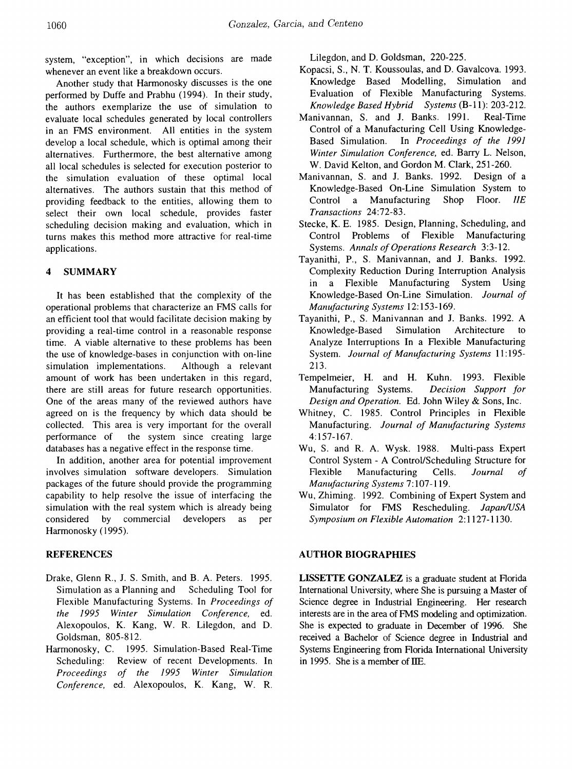system, "exception", in which decisions are made whenever an event like a breakdown occurs.

Another study that Harmonosky discusses is the one performed by Duffe and Prabhu (1994). In their study, the authors exemplarize the use of simulation to evaluate local schedules generated by local controllers in an FMS environment. All entities in the system develop a local schedule, which is optimal among their alternatives. Furthermore, the best alternative among all local schedules is selected for execution posterior to the simulation evaluation of these optimal local alternatives. The authors sustain that this method of providing feedback to the entities, allowing them to select their own local schedule, provides faster scheduling decision making and evaluation, which in turns makes this method more attractive for real-time applications.

### 4 SUMMARY

It has been established that the complexity of the operational problems that characterize an FMS calls for an efficient tool that would facilitate decision making by providing a real-time control in a reasonable response time. A viable alternative to these problems has been the use of knowledge-bases in conjunction with on-line simulation implementations. Although a relevant amount of work has been undertaken in this regard, there are still areas for future research opportunities. One of the areas many of the reviewed authors have agreed on is the frequency by which data should be collected. This area is very important for the overall performance of the system since creating large databases has a negative effect in the response time.

In addition, another area for potential improvement involves simulation software developers. Simulation packages of the future should provide the programming capability to help resolve the issue of interfacing the simulation with the real system which is already being considered by commercial developers as per Harmonosky (1995).

#### **REFERENCES**

- Drake, Glenn R., J. S. Smith, and B. A. Peters. 1995. Simulation as a Planning and Scheduling Tool for Flexible Manufacturing Systems. In *Proceedings of the* 1995 *Winter Simulation Conference,* ed. Alexopoulos, K. Kang, W. R. Lilegdon, and D. Goldsman, 805-812.
- Harmonosky, C. 1995. Simulation-Based Real-Time Scheduling: Review of recent Developments. In *Proceedings of the* 1995 *Winter Simulation Conference,* ed. Alexopoulos, K. Kang, W. R.

Lilegdon, and D. Goldsman, 220-225.

- Kopacsi, S., N. T. Koussoulas, and D. Gavalcova. 1993. Knowledge Based Modelling, Simulation and Evaluation of Flexible Manufacturing Systems. *Knowledge Based Hybrid Systems* (B-ll): 203-212.
- Manivannan, S. and J. Banks. 1991. Real-Time Control of a Manufacturing Cell Using Knowledge-Based Simulation. In *Proceedings of the 1991 Winter Simulation Conference,* ed. Barry L. Nelson, W. David Kelton, and Gordon M. Clark, 251-260.
- Manivannan, S. and J. Banks. 1992. Design of a Knowledge-Based On-Line Simulation System to Control a Manufacturing Shop Floor. IIE *Transactions* 24:72-83.
- Stecke, K. E. 1985. Design, Planning, Scheduling, and Control Problems of Flexible Manufacturing Systems. Annals of Operations Research 3:3-12.
- Tayanithi, P., S. Manivannan, and J. Banks. 1992. Complexity Reduction During Interruption Analysis in a Flexible Manufacturing System Using Knowledge-Based On-Line Simulation. *Journal of Manufacturing Systems* 12:153-169.
- Tayanithi, P., S. Manivannan and J. Banks. 1992. A Knowledge-Based Simulation Architecture to Analyze Interruptions In a Flexible Manufacturing System. *Journal of Manufacturing Systems* 11: 195- 213.
- Tempelmeier, H. and H. Kuhn. 1993. Flexible Manufacturing Systems. *Decision Support for Design and Operation.* Ed. John Wiley & Sons, Inc.
- Whitney, C. 1985. Control Principles in Flexible Manufacturing. *Journal of Manufacturing Systems* 4: 157-167.
- Wu, S. and R. A. Wysk. 1988. Multi-pass Expert Control System - A Control/Scheduling Structure for Flexible Manufacturing Cells. *Journal of Manufacturing Systems* 7: 107-119.
- Wu, Zhiming. 1992. Combining of Expert System and Simulator for FMS Rescheduling. *Japan/USA Symposium on Flexible Automation* 2: 1127-1130.

#### AUTHOR BIOGRAPHIES

LISSETTE GONZALEZ is a graduate student at Florida International University, where She is pursuing a Master of Science degree in Industrial Engineering. Her research interests are in the area of FMS modeling and optimization. She is expected to graduate in December of 1996. She received a Bachelor of Science degree in Industrial and Systems Engineering from Florida International University in 1995. She is a member of IIE.